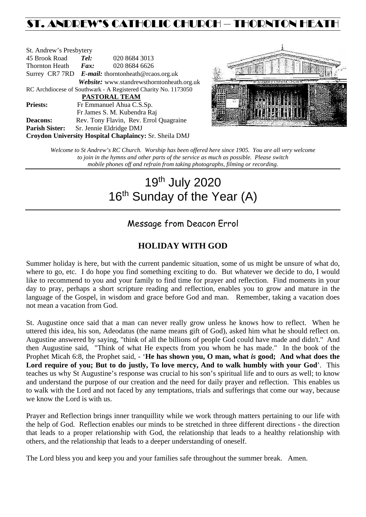# ST. ANDREW'S CATHOLIC CHURCH – THORNTON HEATH

| St. Andrew's Presbytery                                        |                                                   |                                            |  |  |  |
|----------------------------------------------------------------|---------------------------------------------------|--------------------------------------------|--|--|--|
| 45 Brook Road                                                  | Tel:                                              | 020 8684 3013                              |  |  |  |
| Thornton Heath                                                 | Fax:                                              | 020 8684 6626                              |  |  |  |
|                                                                | Surrey CR7 7RD E-mail: thorntonheath@rcaos.org.uk |                                            |  |  |  |
|                                                                |                                                   | Website: www.standrewsthorntonheath.org.uk |  |  |  |
| RC Archdiocese of Southwark - A Registered Charity No. 1173050 |                                                   |                                            |  |  |  |
| <b>PASTORAL TEAM</b>                                           |                                                   |                                            |  |  |  |
| <b>Priests:</b>                                                | Fr Emmanuel Ahua C.S.Sp.                          |                                            |  |  |  |
|                                                                |                                                   | Fr James S. M. Kubendra Raj                |  |  |  |
| <b>Deacons:</b>                                                |                                                   | Rev. Tony Flavin, Rev. Errol Quagraine     |  |  |  |
| <b>Parish Sister:</b>                                          |                                                   | Sr. Jennie Eldridge DMJ                    |  |  |  |
| Croydon University Hospital Chaplaincy: Sr. Sheila DMJ         |                                                   |                                            |  |  |  |



*Welcome to St Andrew's RC Church. Worship has been offered here since 1905. You are all very welcome to join in the hymns and other parts of the service as much as possible. Please switch mobile phones off and refrain from taking photographs, filming or recording.*

# 19th July 2020 16<sup>th</sup> Sunday of the Year (A)

# Message from Deacon Errol

## **HOLIDAY WITH GOD**

Summer holiday is here, but with the current pandemic situation, some of us might be unsure of what do, where to go, etc. I do hope you find something exciting to do. But whatever we decide to do, I would like to recommend to you and your family to find time for prayer and reflection. Find moments in your day to pray, perhaps a short scripture reading and reflection, enables you to grow and mature in the language of the Gospel, in wisdom and grace before God and man. Remember, taking a vacation does not mean a vacation from God.

St. Augustine once said that a man can never really grow unless he knows how to reflect. When he uttered this idea, his son, Adeodatus (the name means gift of God), asked him what he should reflect on. Augustine answered by saying, "think of all the billions of people God could have made and didn't." And then Augustine said, "Think of what He expects from you whom he has made." In the book of the Prophet Micah 6:8, the Prophet said, - '**He has shown you, O man, what** *is* **good; And what does the Lord require of you; But to do justly, To love mercy, And to walk humbly with your God**'. This teaches us why St Augustine's response was crucial to his son's spiritual life and to ours as well; to know and understand the purpose of our creation and the need for daily prayer and reflection. This enables us to walk with the Lord and not faced by any temptations, trials and sufferings that come our way, because we know the Lord is with us.

Prayer and Reflection brings inner tranquillity while we work through matters pertaining to our life with the help of God. Reflection enables our minds to be stretched in three different directions - the direction that leads to a proper relationship with God, the relationship that leads to a healthy relationship with others, and the relationship that leads to a deeper understanding of oneself.

The Lord bless you and keep you and your families safe throughout the summer break. Amen.